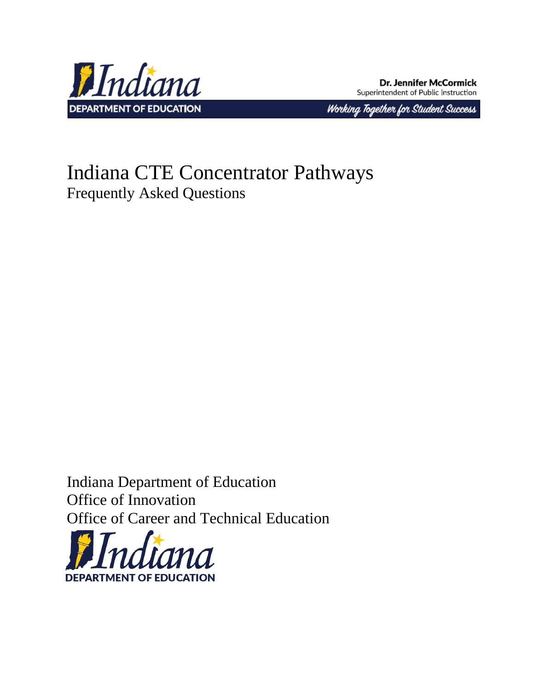

**Dr. Jennifer McCormick** Superintendent of Public Instruction

Working Together for Student Success

# Indiana CTE Concentrator Pathways Frequently Asked Questions

Indiana Department of Education Office of Innovation Office of Career and Technical Education

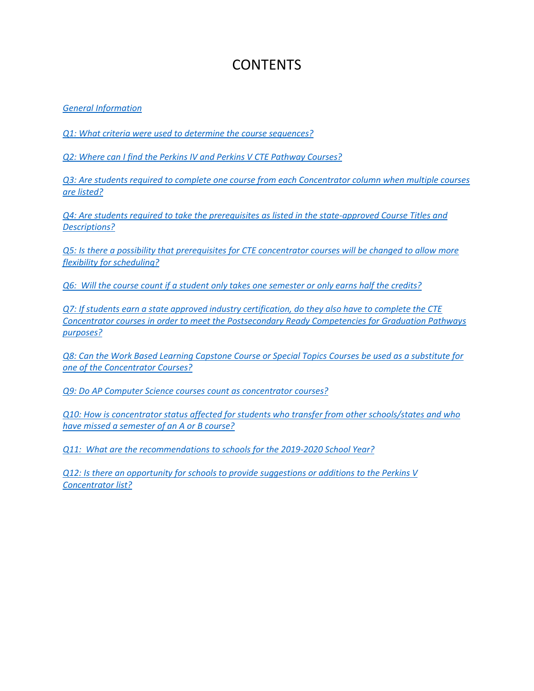# **CONTENTS**

*[General Information](#page-1-0)*

*[Q1: What criteria were used to determine the course sequences?](#page-2-0)*

*[Q2: Where can I find the Perkins IV and Perkins V CTE Pathway Courses?](#page-2-1)*

*[Q3: Are students required to complete one course from each Concentrator column when multiple courses](#page-2-2)  [are listed?](#page-2-2)*

*[Q4: Are students required to take the prerequisites as listed in the state-approved Course Titles and](#page-2-3)  [Descriptions?](#page-2-3)*

*[Q5: Is there a possibility that prerequisites for CTE concentrator courses will be changed to allow more](#page-3-0)  [flexibility for scheduling?](#page-3-0)*

*[Q6: Will the course count if a student only takes one semester or only earns half the credits?](#page-3-1)*

*[Q7: If students earn a state approved industry certification, do they also have to complete the CTE](#page-3-2)  [Concentrator courses in order to meet the Postsecondary Ready Competencies for Graduation Pathways](#page-3-2)  [purposes?](#page-3-2)*

*[Q8: Can the Work Based Learning Capstone Course or Special Topics Courses be used as a substitute for](#page-3-3)  [one of the Concentrator Courses?](#page-3-3)*

*[Q9: Do AP Computer Science courses count as concentrator courses?](#page-3-4)*

*[Q10: How is concentrator status affected for students who transfer from other schools/states and who](#page-4-0)  [have missed a semester of an A or B course?](#page-4-0)*

*[Q11: What are the recommendations to schools for the 2019-2020 School Year?](#page-4-1)*

<span id="page-1-0"></span>*[Q12: Is there an opportunity for schools to provide suggestions or additions to the Perkins V](#page-4-2)  [Concentrator list?](#page-4-2)*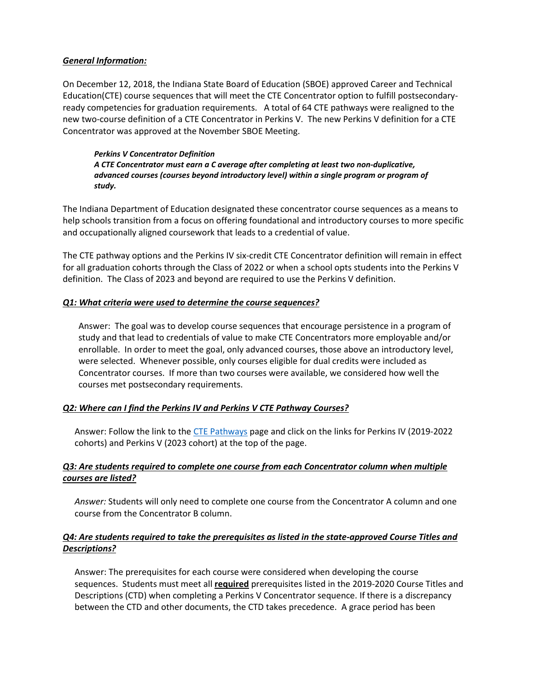#### *General Information:*

On December 12, 2018, the Indiana State Board of Education (SBOE) approved Career and Technical Education(CTE) course sequences that will meet the CTE Concentrator option to fulfill postsecondaryready competencies for graduation requirements. A total of 64 CTE pathways were realigned to the new two-course definition of a CTE Concentrator in Perkins V. The new Perkins V definition for a CTE Concentrator was approved at the November SBOE Meeting.

*Perkins V Concentrator Definition A CTE Concentrator must earn a C average after completing at least two non-duplicative, advanced courses (courses beyond introductory level) within a single program or program of study.*

The Indiana Department of Education designated these concentrator course sequences as a means to help schools transition from a focus on offering foundational and introductory courses to more specific and occupationally aligned coursework that leads to a credential of value.

The CTE pathway options and the Perkins IV six-credit CTE Concentrator definition will remain in effect for all graduation cohorts through the Class of 2022 or when a school opts students into the Perkins V definition. The Class of 2023 and beyond are required to use the Perkins V definition.

#### <span id="page-2-0"></span>*Q1: What criteria were used to determine the course sequences?*

Answer: The goal was to develop course sequences that encourage persistence in a program of study and that lead to credentials of value to make CTE Concentrators more employable and/or enrollable. In order to meet the goal, only advanced courses, those above an introductory level, were selected. Whenever possible, only courses eligible for dual credits were included as Concentrator courses. If more than two courses were available, we considered how well the courses met postsecondary requirements.

# <span id="page-2-1"></span>*Q2: Where can I find the Perkins IV and Perkins V CTE Pathway Courses?*

Answer: Follow the link to the [CTE Pathways](https://www.doe.in.gov/wf-stem/career-and-technical-education-pathways) page and click on the links for Perkins IV (2019-2022 cohorts) and Perkins V (2023 cohort) at the top of the page.

#### <span id="page-2-2"></span>*Q3: Are students required to complete one course from each Concentrator column when multiple courses are listed?*

*Answer:* Students will only need to complete one course from the Concentrator A column and one course from the Concentrator B column.

# <span id="page-2-3"></span>*Q4: Are students required to take the prerequisites as listed in the state-approved Course Titles and Descriptions?*

Answer: The prerequisites for each course were considered when developing the course sequences. Students must meet all **required** prerequisites listed in the 2019-2020 Course Titles and Descriptions (CTD) when completing a Perkins V Concentrator sequence. If there is a discrepancy between the CTD and other documents, the CTD takes precedence. A grace period has been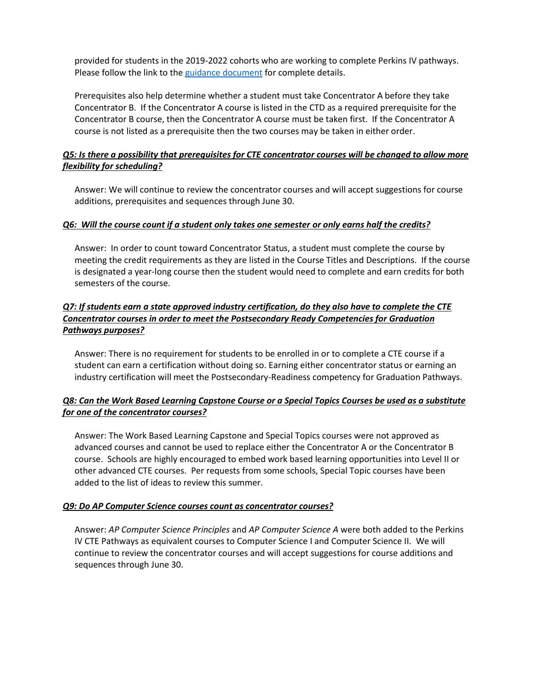provided for students in the 2019-2022 cohorts who are working to complete Perkins IV pathways. Please follow the link to the [guidance document](https://www.doe.in.gov/sites/default/files/wf-stem/perkins-concentrator-guidance.pdf) for complete details.

Prerequisites also help determine whether a student must take Concentrator A before they take Concentrator B. If the Concentrator A course is listed in the CTD as a required prerequisite for the Concentrator B course, then the Concentrator A course must be taken first. If the Concentrator A course is not listed as a prerequisite then the two courses may be taken in either order.

# <span id="page-3-0"></span>*Q5: Is there a possibility that prerequisites for CTE concentrator courses will be changed to allow more flexibility for scheduling?*

Answer: We will continue to review the concentrator courses and will accept suggestions for course additions, prerequisites and sequences through June 30.

#### <span id="page-3-1"></span>*Q6: Will the course count if a student only takes one semester or only earns half the credits?*

Answer: In order to count toward Concentrator Status, a student must complete the course by meeting the credit requirements as they are listed in the Course Titles and Descriptions. If the course is designated a year-long course then the student would need to complete and earn credits for both semesters of the course.

# <span id="page-3-2"></span>*Q7: If students earn a state approved industry certification, do they also have to complete the CTE Concentrator courses in order to meet the Postsecondary Ready Competencies for Graduation Pathways purposes?*

Answer: There is no requirement for students to be enrolled in or to complete a CTE course if a student can earn a certification without doing so. Earning either concentrator status or earning an industry certification will meet the Postsecondary-Readiness competency for Graduation Pathways.

# <span id="page-3-3"></span>*Q8: Can the Work Based Learning Capstone Course or a Special Topics Courses be used as a substitute for one of the concentrator courses?*

Answer: The Work Based Learning Capstone and Special Topics courses were not approved as advanced courses and cannot be used to replace either the Concentrator A or the Concentrator B course. Schools are highly encouraged to embed work based learning opportunities into Level II or other advanced CTE courses. Per requests from some schools, Special Topic courses have been added to the list of ideas to review this summer.

# <span id="page-3-4"></span>*Q9: Do AP Computer Science courses count as concentrator courses?*

Answer: *AP Computer Science Principles* and *AP Computer Science A* were both added to the Perkins IV CTE Pathways as equivalent courses to Computer Science I and Computer Science II. We will continue to review the concentrator courses and will accept suggestions for course additions and sequences through June 30.